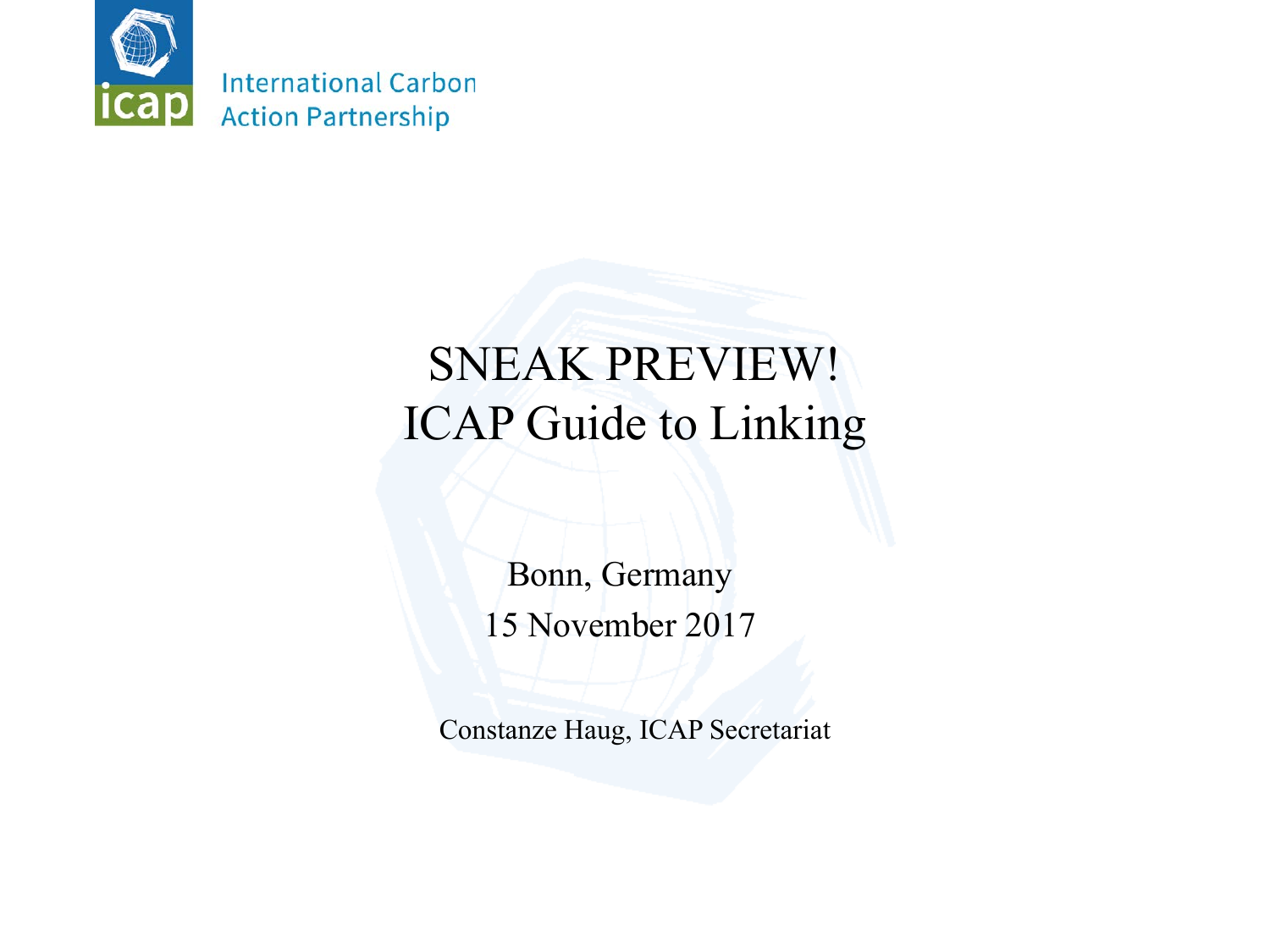

## SNEAK PREVIEW! ICAP Guide to Linking

Bonn, Germany 15 November 2017

Constanze Haug, ICAP Secretariat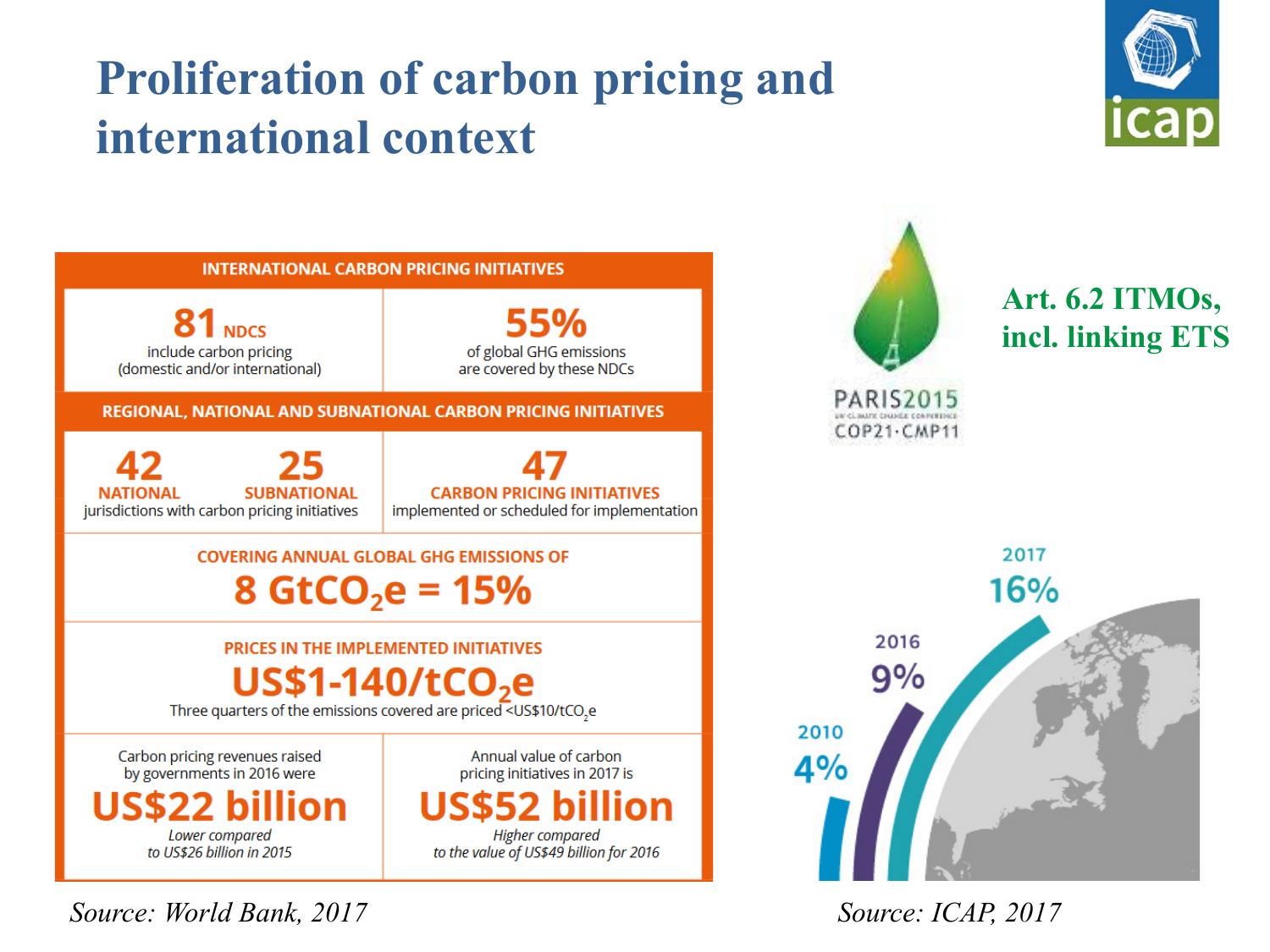# **Proliferation of carbon pricing and international context**





*Source: World Bank, 2017 Source: ICAP, 2017*

**Art. 6.2 ITMOs, incl. linking ETS**



28.11.17 International Carbon Action Partnership 2

**PARIS2015** 

COP21-CMP11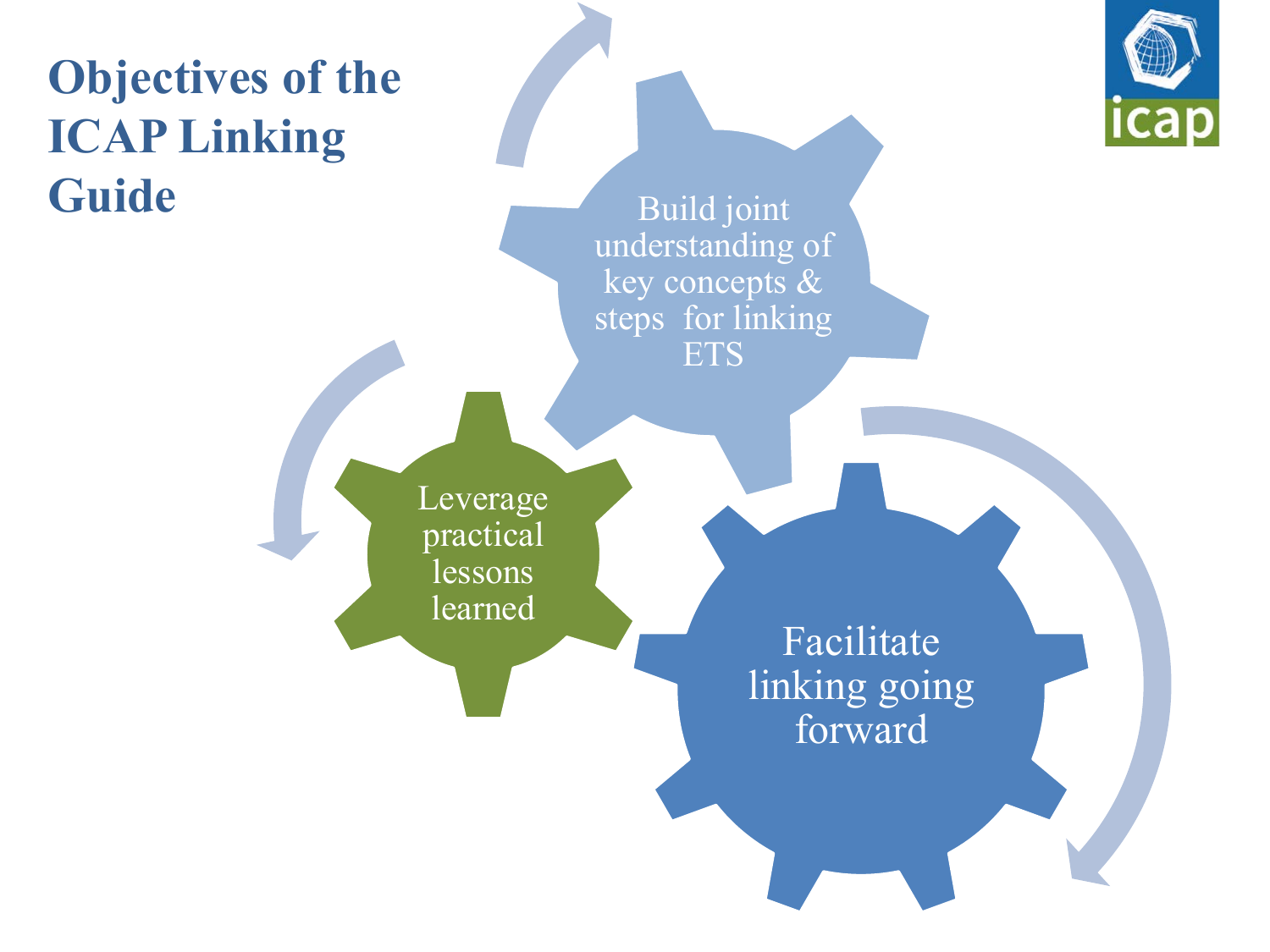# **Objectives of the ICAP Linking Guide**



Build joint understanding of key concepts & steps for linking ETS

Leverage practical lessons learned

Facilitate linking going forward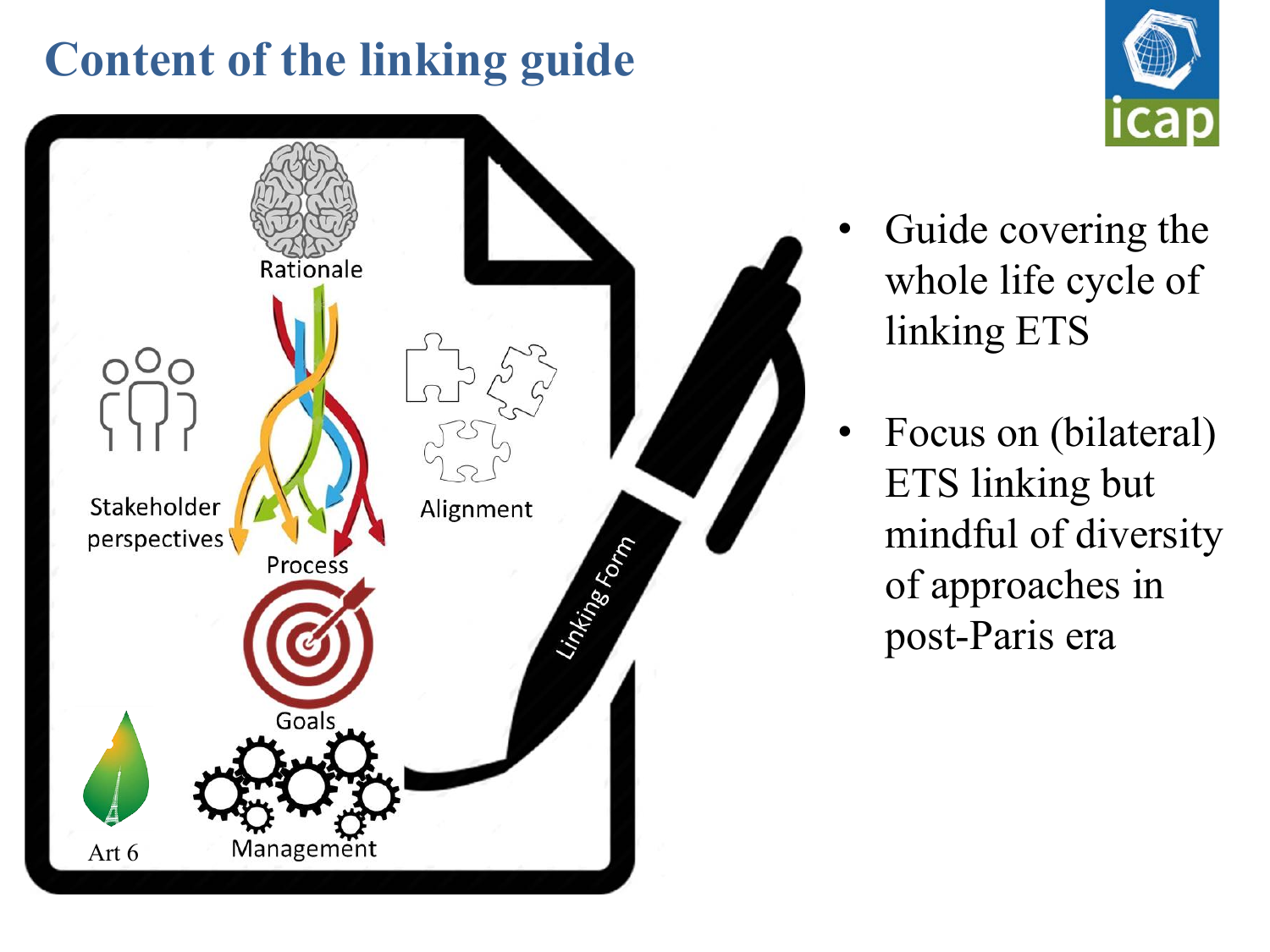# **Content of the linking guide**





- Guide covering the whole life cycle of linking ETS
- Focus on (bilateral) ETS linking but mindful of diversity of approaches in post-Paris era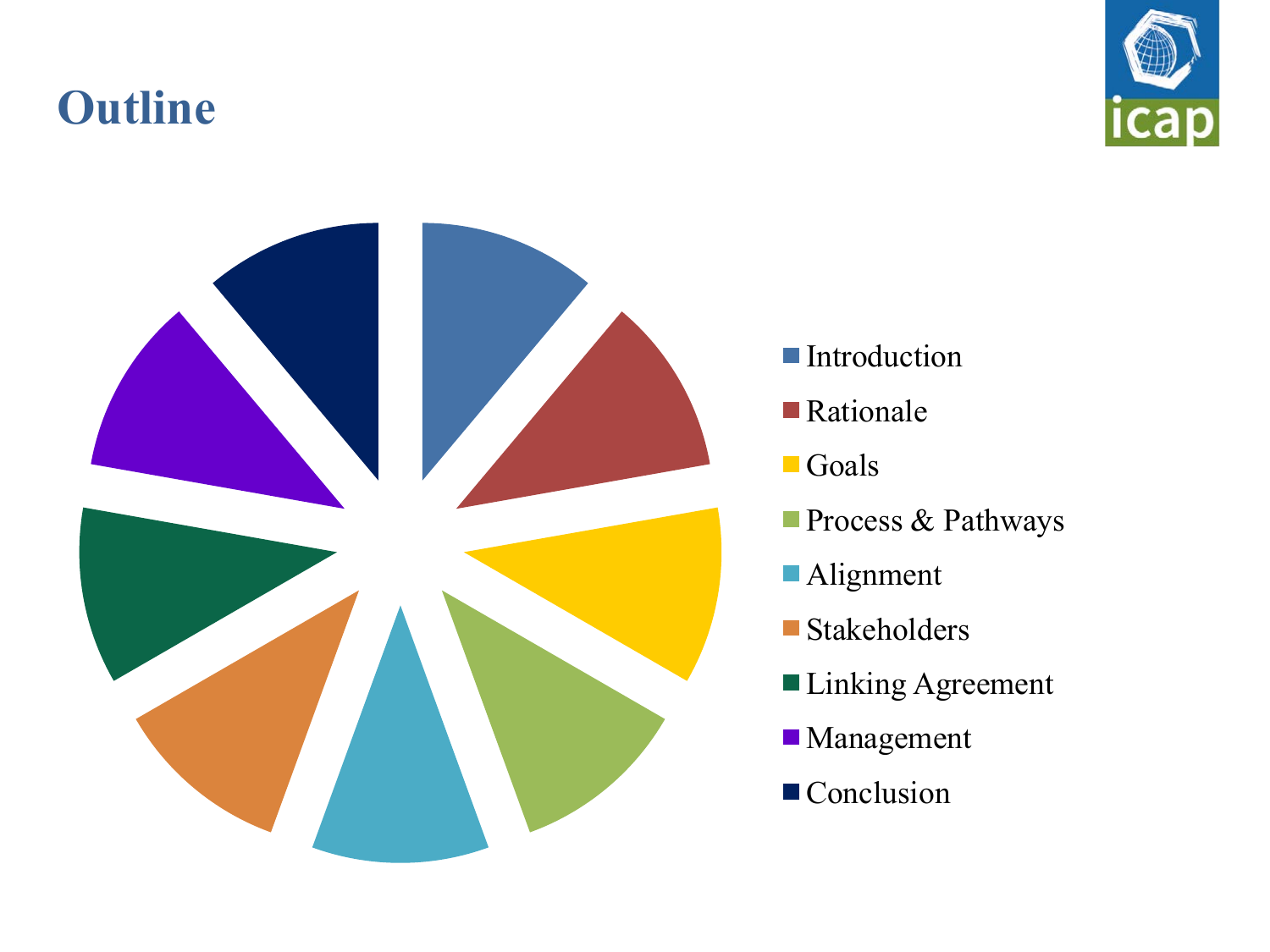## **Outline**





- **Introduction**
- Rationale
- **Goals**
- Process & Pathways
- Alignment
- Stakeholders
- Linking Agreement
- **Management**
- Conclusion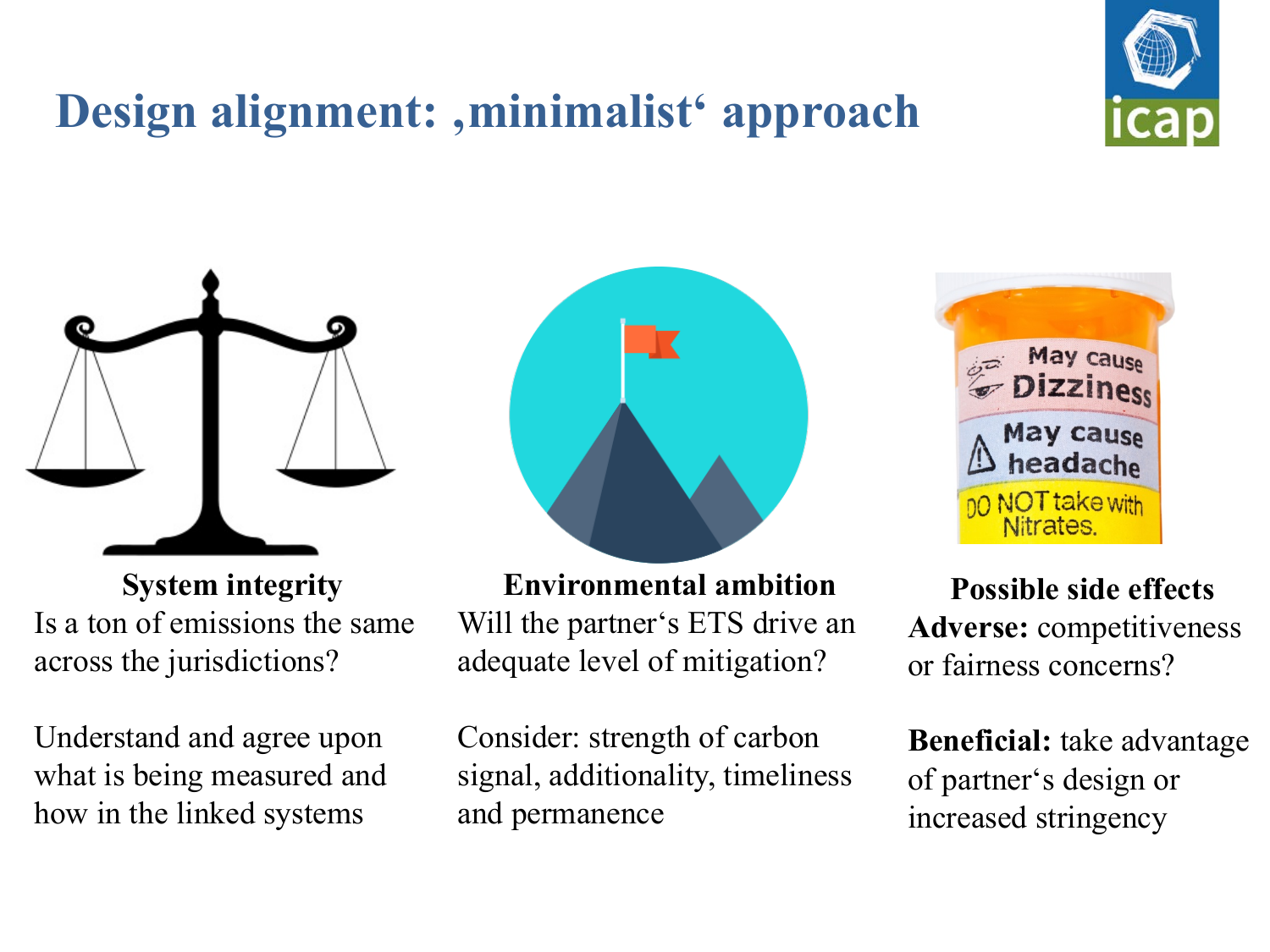# Design alignment: , minimalist<sup>'</sup> approach



**System integrity** Is a ton of emissions the same across the jurisdictions?

Understand and agree upon what is being measured and how in the linked systems



**Environmental ambition** Will the partner's ETS drive an adequate level of mitigation?

Consider: strength of carbon signal, additionality, timeliness and permanence



**Possible side effects Adverse:** competitiveness or fairness concerns?

**Beneficial:** take advantage of partner's design or increased stringency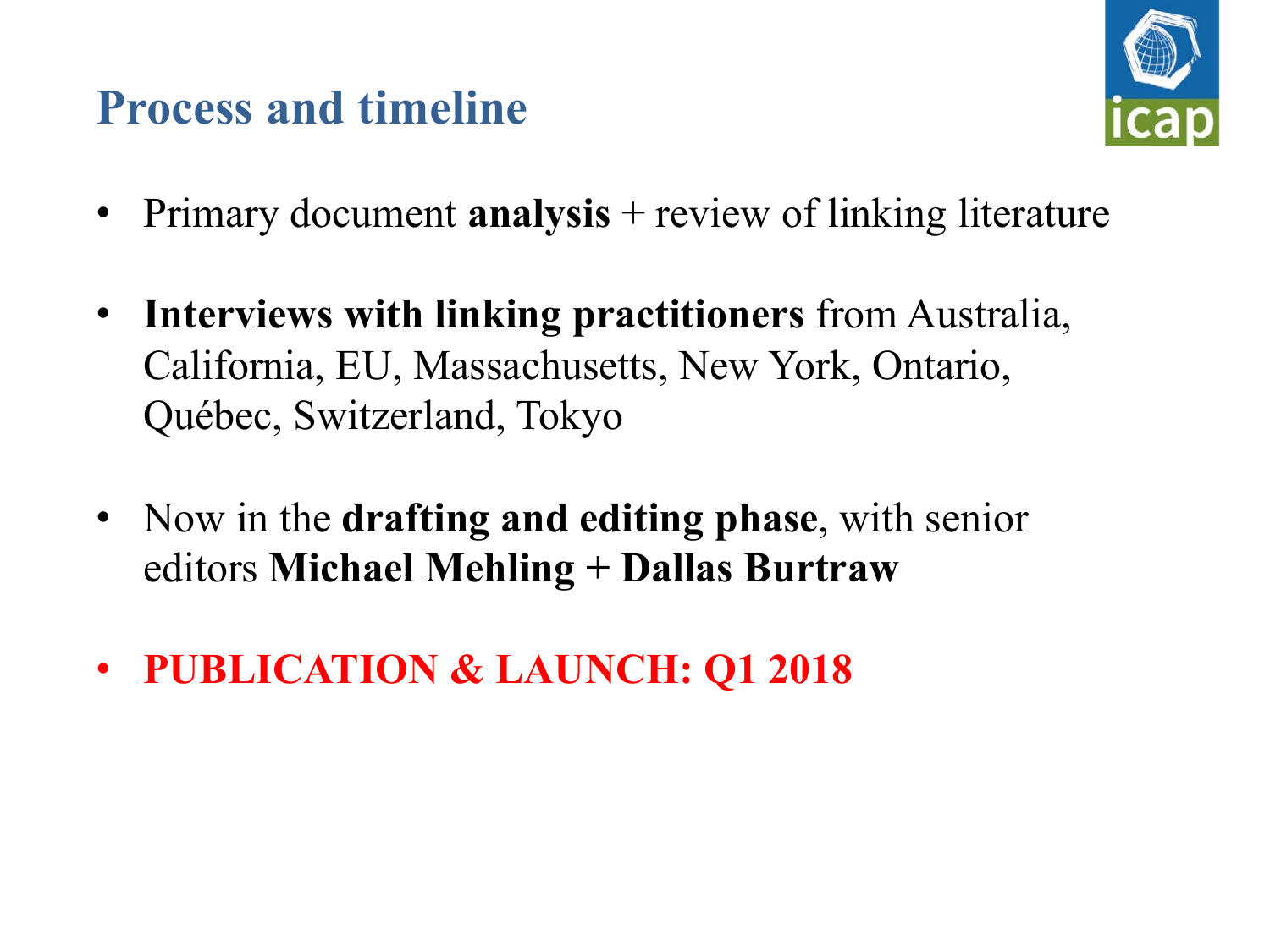## **Process and timeline**



- Primary document **analysis** + review of linking literature
- **Interviews with linking practitioners** from Australia, California, EU, Massachusetts, New York, Ontario, Québec, Switzerland, Tokyo
- Now in the **drafting and editing phase**, with senior editors **Michael Mehling + Dallas Burtraw**
- **PUBLICATION & LAUNCH: Q1 2018**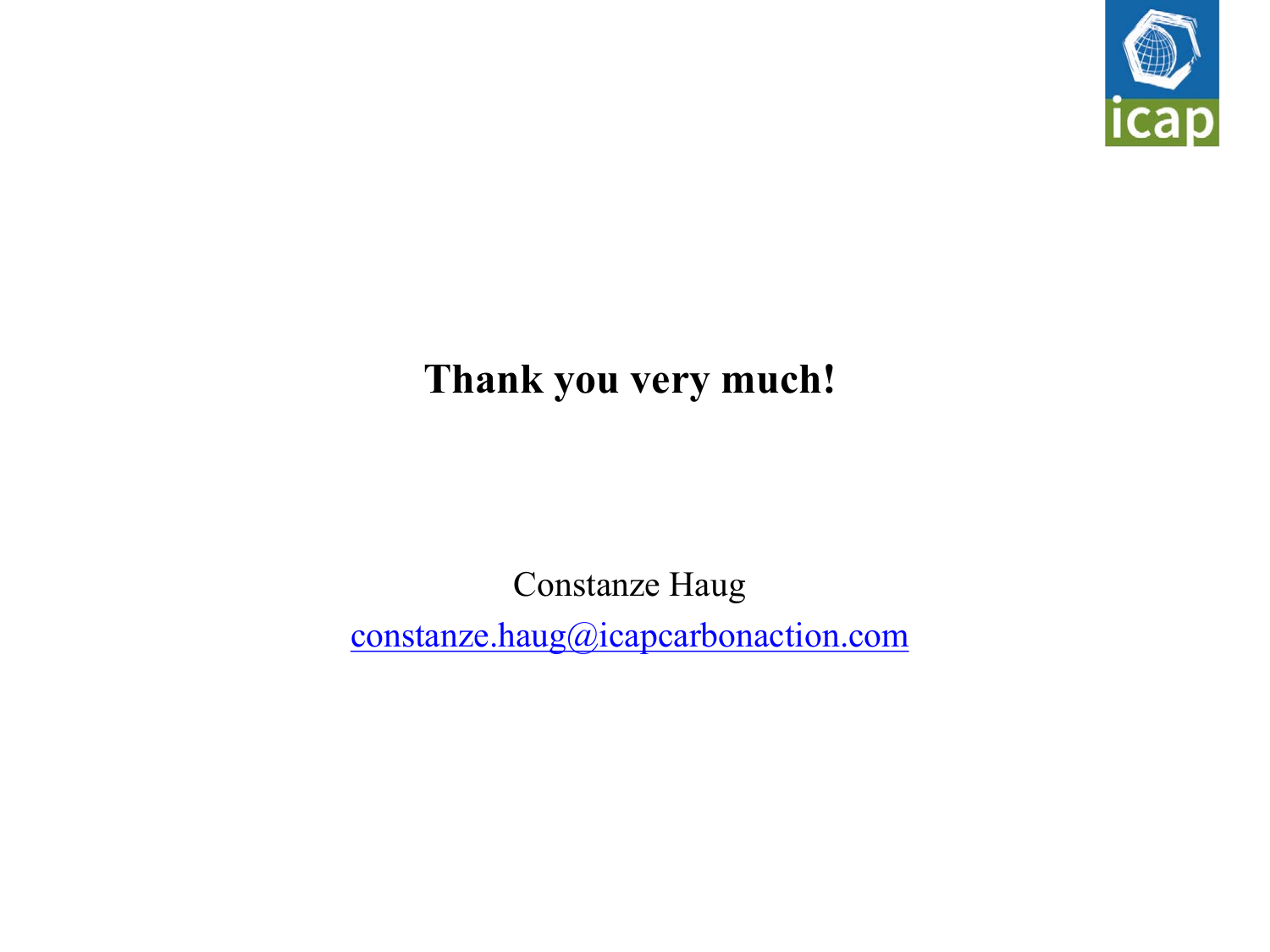

#### **Thank you very much!**

Constanze Haug constanze.haug@icapcarbonaction.com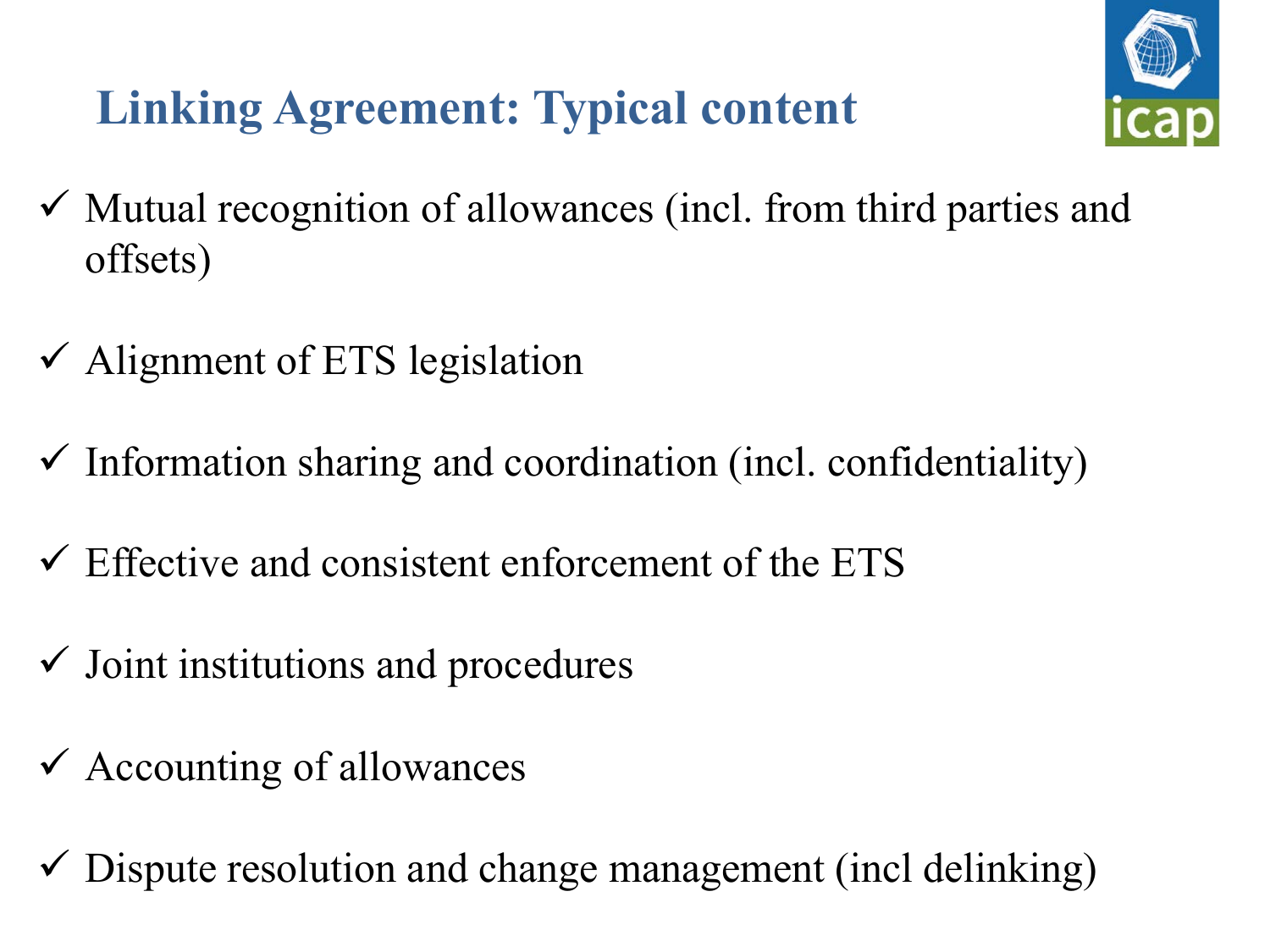# **Linking Agreement: Typical content**



- $\checkmark$  Mutual recognition of allowances (incl. from third parties and offsets)
- $\checkmark$  Alignment of ETS legislation
- $\checkmark$  Information sharing and coordination (incl. confidentiality)
- $\checkmark$  Effective and consistent enforcement of the ETS
- $\checkmark$  Joint institutions and procedures
- $\checkmark$  Accounting of allowances
- $\checkmark$  Dispute resolution and change management (incl delinking)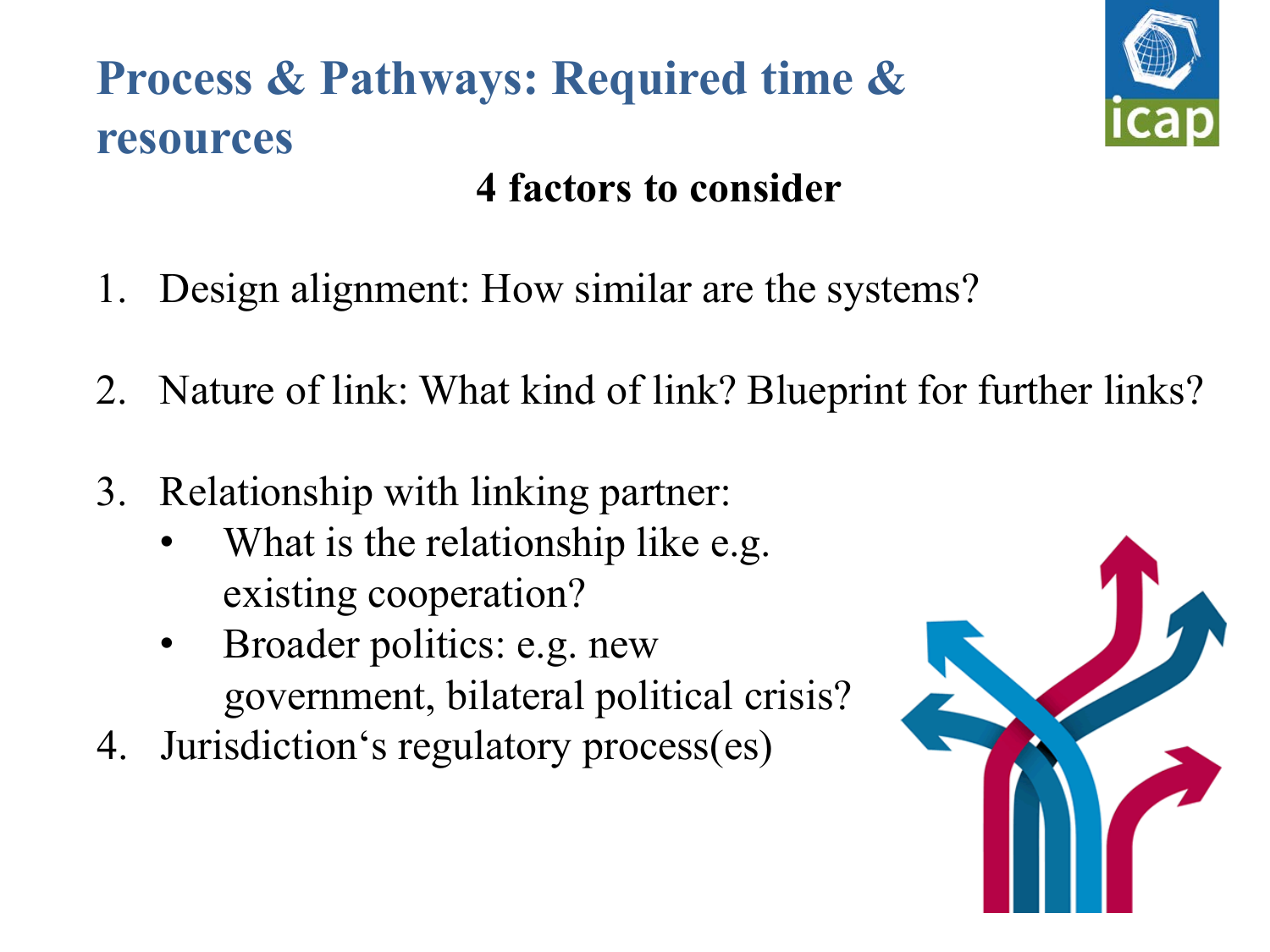# **Process & Pathways: Required time & resources**



## **4 factors to consider**

- 1. Design alignment: How similar are the systems?
- 2. Nature of link: What kind of link? Blueprint for further links?
- 3. Relationship with linking partner:
	- What is the relationship like e.g. existing cooperation?
	- Broader politics: e.g. new government, bilateral political crisis?
- 4. Jurisdiction's regulatory process(es)